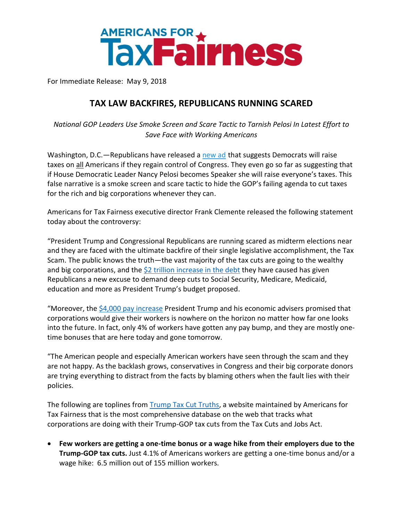

For Immediate Release: May 9, 2018

## **TAX LAW BACKFIRES, REPUBLICANS RUNNING SCARED**

*National GOP Leaders Use Smoke Screen and Scare Tactic to Tarnish Pelosi In Latest Effort to Save Face with Working Americans*

Washington, D.C.—Republicans have released a [new](https://www.youtube.com/watch?v=nb40Lv1aE-U) ad that suggests Democrats will raise taxes on all Americans if they regain control of Congress. They even go so far as suggesting that if House Democratic Leader Nancy Pelosi becomes Speaker she will raise everyone's taxes. This false narrative is a smoke screen and scare tactic to hide the GOP's failing agenda to cut taxes for the rich and big corporations whenever they can.

Americans for Tax Fairness executive director Frank Clemente released the following statement today about the controversy:

"President Trump and Congressional Republicans are running scared as midterm elections near and they are faced with the ultimate backfire of their single legislative accomplishment, the Tax Scam. The public knows the truth—the vast majority of the tax cuts are going to the wealthy and big corporations, and the  $$2$  trillion [increase in the debt](https://www.cnbc.com/video/2018/04/09/cbo-tax-law-will-add-1-point-9-trillion-to-deficit-over-a-decade.html) they have caused has given Republicans a new excuse to demand deep cuts to Social Security, Medicare, Medicaid, education and more as President Trump's budget proposed.

"Moreover, the [\\$4,000 pay increase](https://www.washingtonpost.com/news/wonk/wp/2017/10/16/the-average-american-family-will-get-4000-from-tax-cuts-trump-team-claims/?utm_term=.5d75abd4bd09) President Trump and his economic advisers promised that corporations would give their workers is nowhere on the horizon no matter how far one looks into the future. In fact, only 4% of workers have gotten any pay bump, and they are mostly onetime bonuses that are here today and gone tomorrow.

"The American people and especially American workers have seen through the scam and they are not happy. As the backlash grows, conservatives in Congress and their big corporate donors are trying everything to distract from the facts by blaming others when the fault lies with their policies.

The following are toplines from **Trump Tax Cut Truths**, a website maintained by Americans for Tax Fairness that is the most comprehensive database on the web that tracks what corporations are doing with their Trump-GOP tax cuts from the Tax Cuts and Jobs Act.

• **Few workers are getting a one-time bonus or a wage hike from their employers due to the Trump-GOP tax cuts.** Just 4.1% of Americans workers are getting a one-time bonus and/or a wage hike: 6.5 million out of 155 million workers.